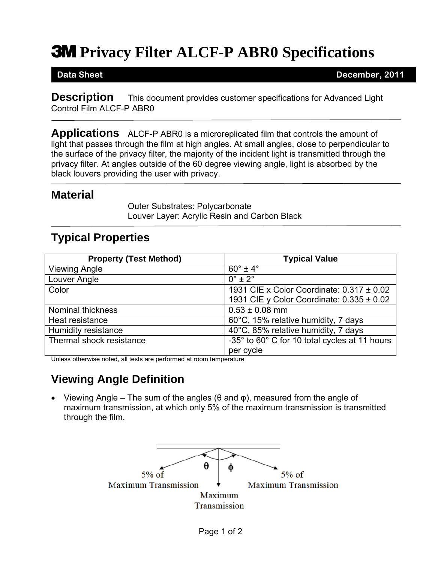# **3M** Privacy Filter ALCF-P ABR0 Specifications

**Data Sheet December, 2011** 

**Description** This document provides customer specifications for Advanced Light Control Film ALCF-P ABR0

**Applications** ALCF-P ABR0 is a microreplicated film that controls the amount of light that passes through the film at high angles. At small angles, close to perpendicular to the surface of the privacy filter, the majority of the incident light is transmitted through the privacy filter. At angles outside of the 60 degree viewing angle, light is absorbed by the black louvers providing the user with privacy.

#### **Material**

Outer Substrates: Polycarbonate Louver Layer: Acrylic Resin and Carbon Black

### **Typical Properties**

| <b>Property (Test Method)</b> | <b>Typical Value</b>                          |
|-------------------------------|-----------------------------------------------|
| <b>Viewing Angle</b>          | $60^\circ \pm 4^\circ$                        |
| Louver Angle                  | $0^\circ \pm 2^\circ$                         |
| Color                         | 1931 CIE x Color Coordinate: 0.317 ± 0.02     |
|                               | 1931 CIE y Color Coordinate: $0.335 \pm 0.02$ |
| <b>Nominal thickness</b>      | $0.53 \pm 0.08$ mm                            |
| Heat resistance               | 60°C, 15% relative humidity, 7 days           |
| <b>Humidity resistance</b>    | 40°C, 85% relative humidity, 7 days           |
| Thermal shock resistance      | -35° to 60° C for 10 total cycles at 11 hours |
|                               | per cycle                                     |

Unless otherwise noted, all tests are performed at room temperature

## **Viewing Angle Definition**

• Viewing Angle – The sum of the angles ( $\theta$  and  $\phi$ ), measured from the angle of maximum transmission, at which only 5% of the maximum transmission is transmitted through the film.